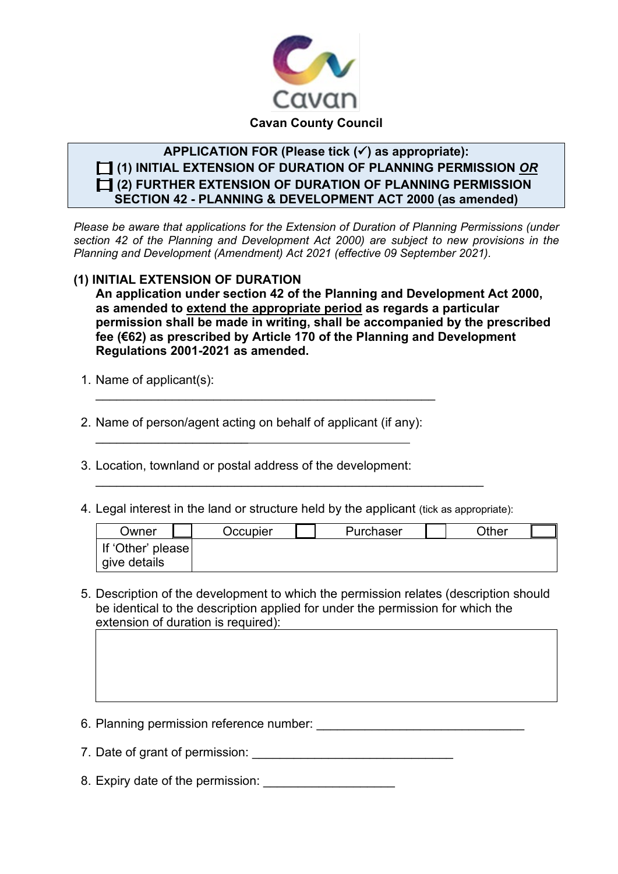

# **APPLICATION FOR (Please tick () as appropriate): [ ] (1) INITIAL EXTENSION OF DURATION OF PLANNING PERMISSION** *OR* **[ ] (2) FURTHER EXTENSION OF DURATION OF PLANNING PERMISSION SECTION 42 - PLANNING & DEVELOPMENT ACT 2000 (as amended)**

*Please be aware that applications for the Extension of Duration of Planning Permissions (under section 42 of the Planning and Development Act 2000) are subject to new provisions in the Planning and Development (Amendment) Act 2021 (effective 09 September 2021).*

## **(1) INITIAL EXTENSION OF DURATION**

**An application under section 42 of the Planning and Development Act 2000, as amended to extend the appropriate period as regards a particular permission shall be made in writing, shall be accompanied by the prescribed fee (€62) as prescribed by Article 170 of the Planning and Development Regulations 2001-2021 as amended.** 

1. Name of applicant(s):

\_\_\_\_\_\_\_\_\_\_\_\_\_\_\_\_\_\_\_\_\_\_

2. Name of person/agent acting on behalf of applicant (if any):

\_\_\_\_\_\_\_\_\_\_\_\_\_\_\_\_\_\_\_\_\_\_\_\_\_\_\_\_\_\_\_\_\_\_\_\_\_\_\_\_\_\_\_\_\_\_\_\_\_

- 3. Location, townland or postal address of the development:
- 4. Legal interest in the land or structure held by the applicant (tick as appropriate):

\_\_\_\_\_\_\_\_\_\_\_\_\_\_\_\_\_\_\_\_\_\_\_\_\_\_\_\_\_\_\_\_\_\_\_\_\_\_\_\_\_\_\_\_\_\_\_\_\_\_\_\_\_\_\_\_

| Owner             | Occupier | Purchaser | Other |
|-------------------|----------|-----------|-------|
| If 'Other' please |          |           |       |
| give details      |          |           |       |

- 5. Description of the development to which the permission relates (description should be identical to the description applied for under the permission for which the extension of duration is required):
- 6. Planning permission reference number: \_\_\_\_\_\_\_\_\_\_\_\_\_\_\_\_\_\_\_\_\_\_\_\_\_\_\_\_\_\_
- 7. Date of grant of permission:
- 8. Expiry date of the permission: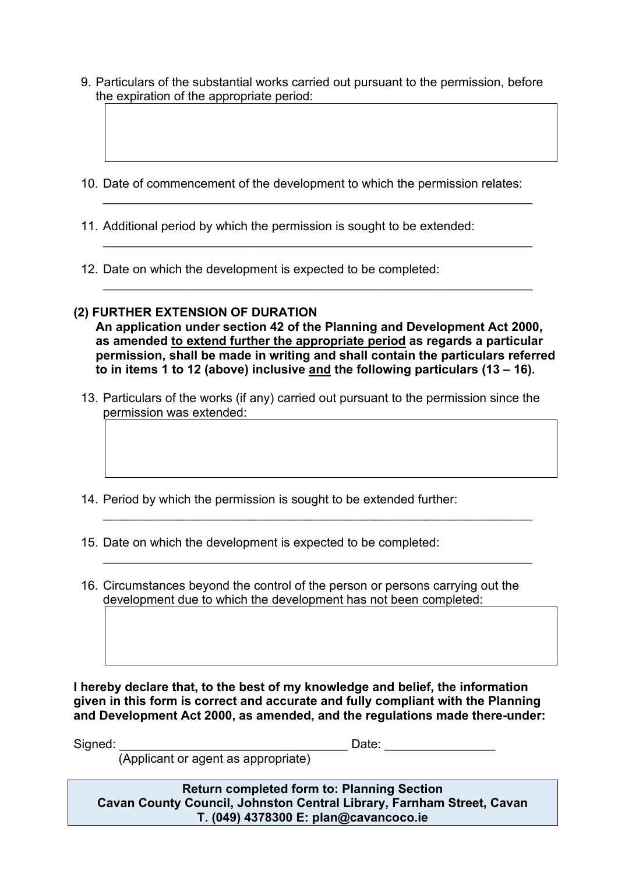- 9. Particulars of the substantial works carried out pursuant to the permission, before the expiration of the appropriate period:
- 10. Date of commencement of the development to which the permission relates:

\_\_\_\_\_\_\_\_\_\_\_\_\_\_\_\_\_\_\_\_\_\_\_\_\_\_\_\_\_\_\_\_\_\_\_\_\_\_\_\_\_\_\_\_\_\_\_\_\_\_\_\_\_\_\_\_\_\_\_\_\_\_

\_\_\_\_\_\_\_\_\_\_\_\_\_\_\_\_\_\_\_\_\_\_\_\_\_\_\_\_\_\_\_\_\_\_\_\_\_\_\_\_\_\_\_\_\_\_\_\_\_\_\_\_\_\_\_\_\_\_\_\_\_\_

\_\_\_\_\_\_\_\_\_\_\_\_\_\_\_\_\_\_\_\_\_\_\_\_\_\_\_\_\_\_\_\_\_\_\_\_\_\_\_\_\_\_\_\_\_\_\_\_\_\_\_\_\_\_\_\_\_\_\_\_\_\_

- 11. Additional period by which the permission is sought to be extended:
- 12. Date on which the development is expected to be completed:

## **(2) FURTHER EXTENSION OF DURATION**

**An application under section 42 of the Planning and Development Act 2000, as amended to extend further the appropriate period as regards a particular permission, shall be made in writing and shall contain the particulars referred to in items 1 to 12 (above) inclusive and the following particulars (13 – 16).** 

13. Particulars of the works (if any) carried out pursuant to the permission since the permission was extended:

\_\_\_\_\_\_\_\_\_\_\_\_\_\_\_\_\_\_\_\_\_\_\_\_\_\_\_\_\_\_\_\_\_\_\_\_\_\_\_\_\_\_\_\_\_\_\_\_\_\_\_\_\_\_\_\_\_\_\_\_\_\_

\_\_\_\_\_\_\_\_\_\_\_\_\_\_\_\_\_\_\_\_\_\_\_\_\_\_\_\_\_\_\_\_\_\_\_\_\_\_\_\_\_\_\_\_\_\_\_\_\_\_\_\_\_\_\_\_\_\_\_\_\_\_

- 14. Period by which the permission is sought to be extended further:
- 15. Date on which the development is expected to be completed:
- 16. Circumstances beyond the control of the person or persons carrying out the development due to which the development has not been completed:

**I hereby declare that, to the best of my knowledge and belief, the information given in this form is correct and accurate and fully compliant with the Planning and Development Act 2000, as amended, and the regulations made there-under:**

Signed: \_\_\_\_\_\_\_\_\_\_\_\_\_\_\_\_\_\_\_\_\_\_\_\_\_\_\_\_\_\_\_\_\_ Date: \_\_\_\_\_\_\_\_\_\_\_\_\_\_\_\_

(Applicant or agent as appropriate)

**Return completed form to: Planning Section Cavan County Council, Johnston Central Library, Farnham Street, Cavan T. (049) 4378300 E: plan@cavancoco.ie**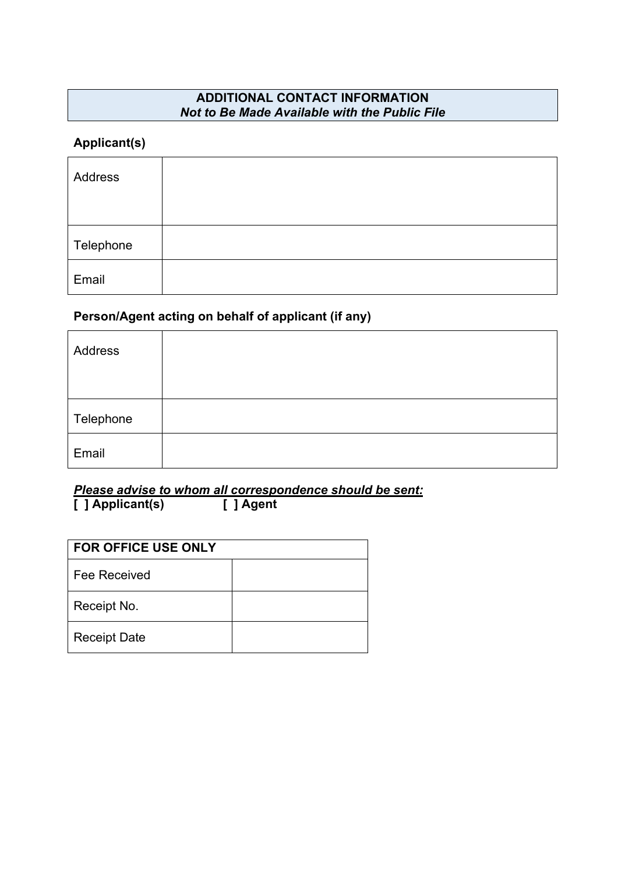# **ADDITIONAL CONTACT INFORMATION**  *Not to Be Made Available with the Public File*

## **Applicant(s)**

| Address   |  |
|-----------|--|
| Telephone |  |
| Email     |  |

# **Person/Agent acting on behalf of applicant (if any)**

| Address   |  |
|-----------|--|
| Telephone |  |
| Email     |  |

*Please advise to whom all correspondence should be sent:* **[ ] Applicant(s) [ ] Agent**

| <b>FOR OFFICE USE ONLY</b> |  |  |
|----------------------------|--|--|
| Fee Received               |  |  |
| Receipt No.                |  |  |
| <b>Receipt Date</b>        |  |  |